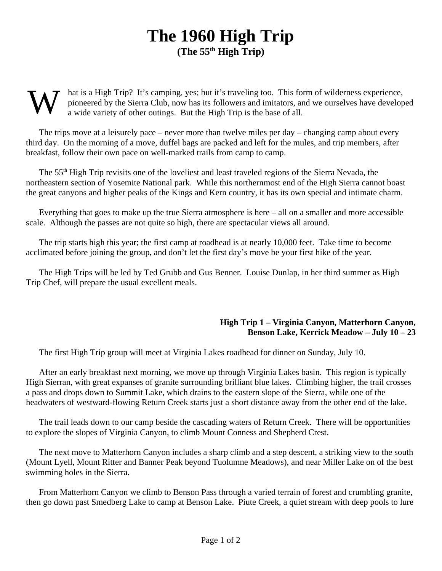## **The 1960 High Trip (The 55th High Trip)**

## W hat is a High Trip? It's camping, yes; but it's traveling too. This form of wilderness experience, pioneered by the Sierra Club, now has its followers and imitators, and we ourselves have developed a wide variety of other outings. But the High Trip is the base of all.

The trips move at a leisurely pace – never more than twelve miles per day – changing camp about every third day. On the morning of a move, duffel bags are packed and left for the mules, and trip members, after breakfast, follow their own pace on well-marked trails from camp to camp.

The 55<sup>th</sup> High Trip revisits one of the loveliest and least traveled regions of the Sierra Nevada, the northeastern section of Yosemite National park. While this northernmost end of the High Sierra cannot boast the great canyons and higher peaks of the Kings and Kern country, it has its own special and intimate charm.

Everything that goes to make up the true Sierra atmosphere is here – all on a smaller and more accessible scale. Although the passes are not quite so high, there are spectacular views all around.

The trip starts high this year; the first camp at roadhead is at nearly 10,000 feet. Take time to become acclimated before joining the group, and don't let the first day's move be your first hike of the year.

The High Trips will be led by Ted Grubb and Gus Benner. Louise Dunlap, in her third summer as High Trip Chef, will prepare the usual excellent meals.

## **High Trip 1 – Virginia Canyon, Matterhorn Canyon, Benson Lake, Kerrick Meadow – July 10 – 23**

The first High Trip group will meet at Virginia Lakes roadhead for dinner on Sunday, July 10.

After an early breakfast next morning, we move up through Virginia Lakes basin. This region is typically High Sierran, with great expanses of granite surrounding brilliant blue lakes. Climbing higher, the trail crosses a pass and drops down to Summit Lake, which drains to the eastern slope of the Sierra, while one of the headwaters of westward-flowing Return Creek starts just a short distance away from the other end of the lake.

The trail leads down to our camp beside the cascading waters of Return Creek. There will be opportunities to explore the slopes of Virginia Canyon, to climb Mount Conness and Shepherd Crest.

The next move to Matterhorn Canyon includes a sharp climb and a step descent, a striking view to the south (Mount Lyell, Mount Ritter and Banner Peak beyond Tuolumne Meadows), and near Miller Lake on of the best swimming holes in the Sierra.

From Matterhorn Canyon we climb to Benson Pass through a varied terrain of forest and crumbling granite, then go down past Smedberg Lake to camp at Benson Lake. Piute Creek, a quiet stream with deep pools to lure